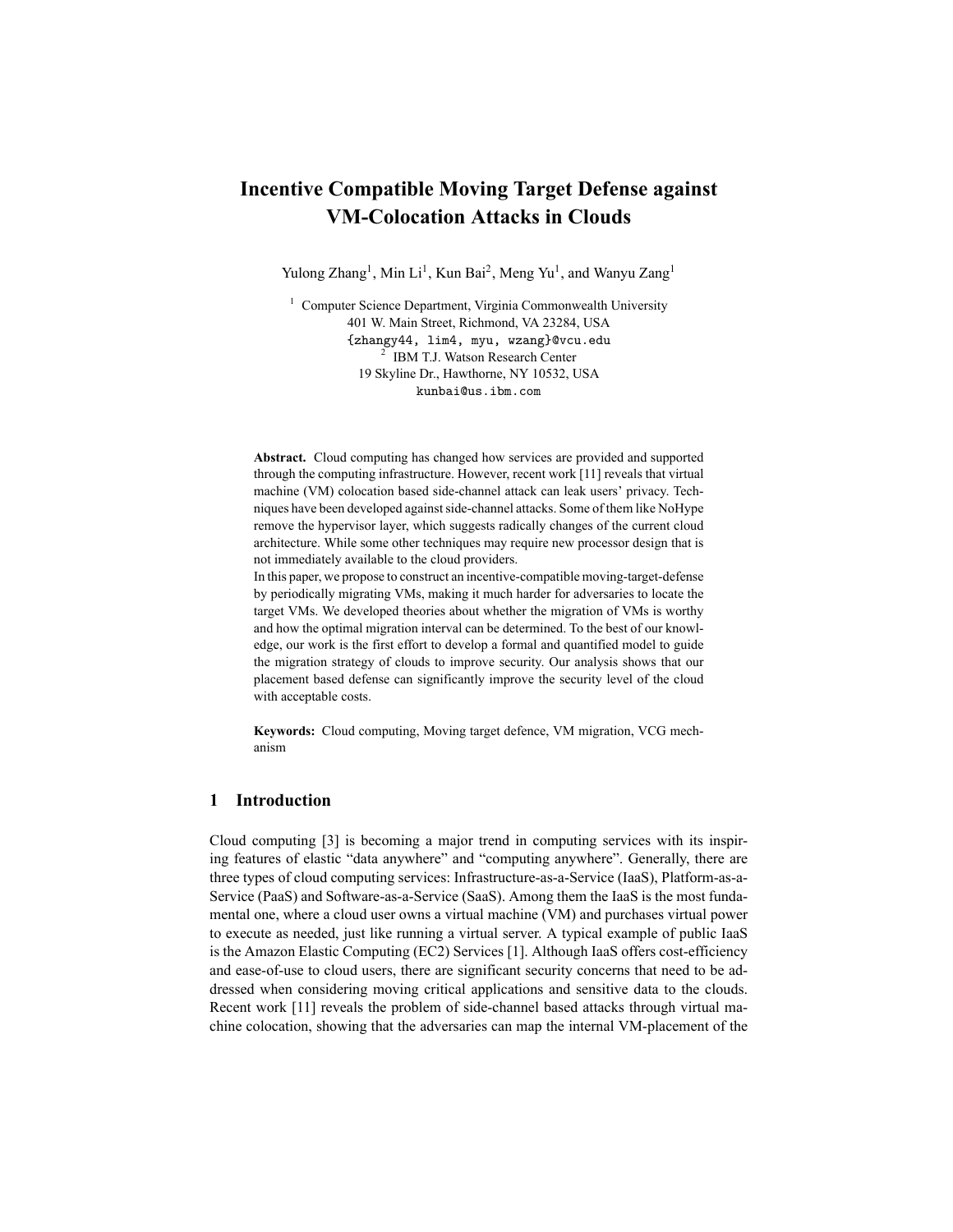# **Incentive Compatible Moving Target Defense against VM-Colocation Attacks in Clouds**

Yulong Zhang<sup>1</sup>, Min Li<sup>1</sup>, Kun Bai<sup>2</sup>, Meng Yu<sup>1</sup>, and Wanyu Zang<sup>1</sup>

<sup>1</sup> Computer Science Department, Virginia Commonwealth University 401 W. Main Street, Richmond, VA 23284, USA {zhangy44, lim4, myu, wzang}@vcu.edu <sup>2</sup> IBM T.J. Watson Research Center 19 Skyline Dr., Hawthorne, NY 10532, USA kunbai@us.ibm.com

**Abstract.** Cloud computing has changed how services are provided and supported through the computing infrastructure. However, recent work [11] reveals that virtual machine (VM) colocation based side-channel attack can leak users' privacy. Techniques have been developed against side-channel attacks. Some of them like NoHype remove the hypervisor layer, which suggests radically changes of the current cloud architecture. While some other techniques may require new processor design that is not immediately available to the cloud providers.

In this paper, we propose to construct an incentive-compatible moving-target-defense by periodically migrating VMs, making it much harder for adversaries to locate the target VMs. We developed theories about whether the migration of VMs is worthy and how the optimal migration interval can be determined. To the best of our knowledge, our work is the first effort to develop a formal and quantified model to guide the migration strategy of clouds to improve security. Our analysis shows that our placement based defense can significantly improve the security level of the cloud with acceptable costs.

**Keywords:** Cloud computing, Moving target defence, VM migration, VCG mechanism

# **1 Introduction**

Cloud computing [3] is becoming a major trend in computing services with its inspiring features of elastic "data anywhere" and "computing anywhere". Generally, there are three types of cloud computing services: Infrastructure-as-a-Service (IaaS), Platform-as-a-Service (PaaS) and Software-as-a-Service (SaaS). Among them the IaaS is the most fundamental one, where a cloud user owns a virtual machine (VM) and purchases virtual power to execute as needed, just like running a virtual server. A typical example of public IaaS is the Amazon Elastic Computing (EC2) Services [1]. Although IaaS offers cost-efficiency and ease-of-use to cloud users, there are significant security concerns that need to be addressed when considering moving critical applications and sensitive data to the clouds. Recent work [11] reveals the problem of side-channel based attacks through virtual machine colocation, showing that the adversaries can map the internal VM-placement of the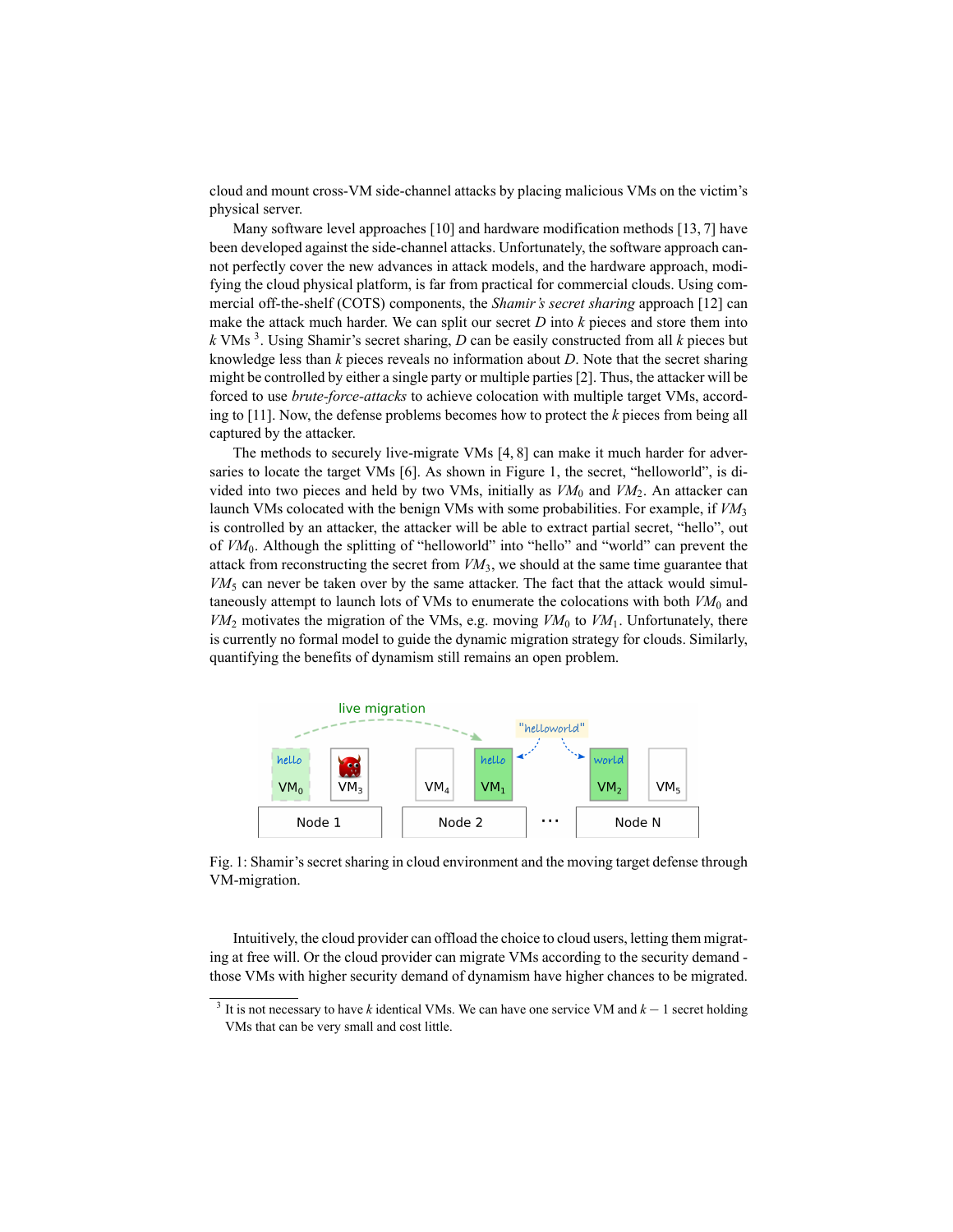cloud and mount cross-VM side-channel attacks by placing malicious VMs on the victim's physical server.

Many software level approaches [10] and hardware modification methods [13, 7] have been developed against the side-channel attacks. Unfortunately, the software approach cannot perfectly cover the new advances in attack models, and the hardware approach, modifying the cloud physical platform, is far from practical for commercial clouds. Using commercial off-the-shelf (COTS) components, the *Shamir's secret sharing* approach [12] can make the attack much harder. We can split our secret *D* into *k* pieces and store them into *k* VMs <sup>3</sup> . Using Shamir's secret sharing, *D* can be easily constructed from all *k* pieces but knowledge less than *k* pieces reveals no information about *D*. Note that the secret sharing might be controlled by either a single party or multiple parties [2]. Thus, the attacker will be forced to use *brute-force-attacks* to achieve colocation with multiple target VMs, according to [11]. Now, the defense problems becomes how to protect the *k* pieces from being all captured by the attacker.

The methods to securely live-migrate VMs [4, 8] can make it much harder for adversaries to locate the target VMs [6]. As shown in Figure 1, the secret, "helloworld", is divided into two pieces and held by two VMs, initially as  $VM_0$  and  $VM_2$ . An attacker can launch VMs colocated with the benign VMs with some probabilities. For example, if *VM*<sup>3</sup> is controlled by an attacker, the attacker will be able to extract partial secret, "hello", out of *VM*0. Although the splitting of "helloworld" into "hello" and "world" can prevent the attack from reconstructing the secret from *VM*3, we should at the same time guarantee that  $VM<sub>5</sub>$  can never be taken over by the same attacker. The fact that the attack would simultaneously attempt to launch lots of VMs to enumerate the colocations with both  $VM<sub>0</sub>$  and  $VM<sub>2</sub>$  motivates the migration of the VMs, e.g. moving  $VM<sub>0</sub>$  to  $VM<sub>1</sub>$ . Unfortunately, there is currently no formal model to guide the dynamic migration strategy for clouds. Similarly, quantifying the benefits of dynamism still remains an open problem.



Fig. 1: Shamir's secret sharing in cloud environment and the moving target defense through VM-migration.

Intuitively, the cloud provider can offload the choice to cloud users, letting them migrating at free will. Or the cloud provider can migrate VMs according to the security demand those VMs with higher security demand of dynamism have higher chances to be migrated.

<sup>3</sup> It is not necessary to have *k* identical VMs. We can have one service VM and *k −* 1 secret holding VMs that can be very small and cost little.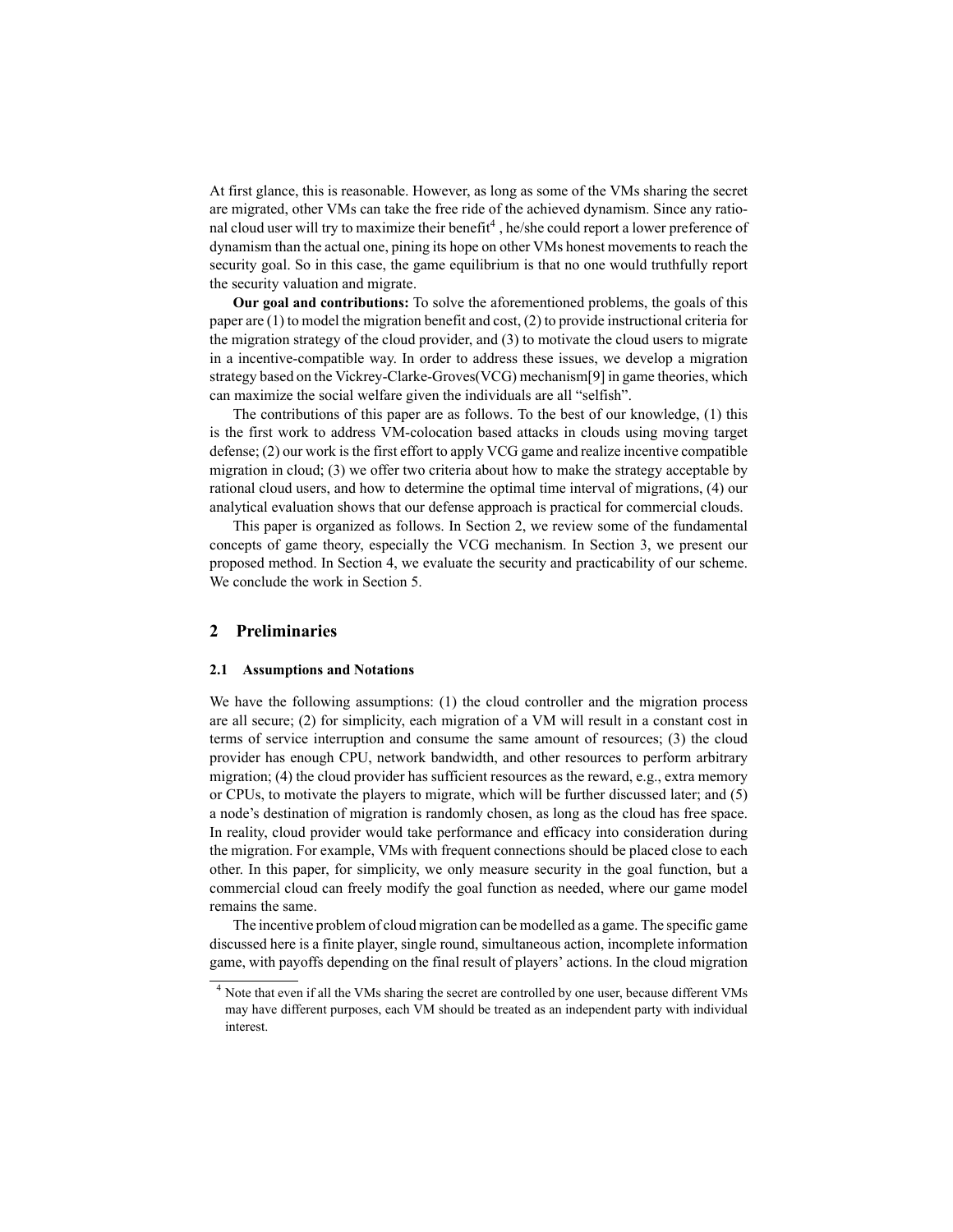At first glance, this is reasonable. However, as long as some of the VMs sharing the secret are migrated, other VMs can take the free ride of the achieved dynamism. Since any rational cloud user will try to maximize their benefit<sup>4</sup>, he/she could report a lower preference of dynamism than the actual one, pining its hope on other VMs honest movements to reach the security goal. So in this case, the game equilibrium is that no one would truthfully report the security valuation and migrate.

**Our goal and contributions:** To solve the aforementioned problems, the goals of this paper are (1) to model the migration benefit and cost, (2) to provide instructional criteria for the migration strategy of the cloud provider, and (3) to motivate the cloud users to migrate in a incentive-compatible way. In order to address these issues, we develop a migration strategy based on the Vickrey-Clarke-Groves(VCG) mechanism[9] in game theories, which can maximize the social welfare given the individuals are all "selfish".

The contributions of this paper are as follows. To the best of our knowledge, (1) this is the first work to address VM-colocation based attacks in clouds using moving target defense; (2) our work is the first effort to apply VCG game and realize incentive compatible migration in cloud; (3) we offer two criteria about how to make the strategy acceptable by rational cloud users, and how to determine the optimal time interval of migrations, (4) our analytical evaluation shows that our defense approach is practical for commercial clouds.

This paper is organized as follows. In Section 2, we review some of the fundamental concepts of game theory, especially the VCG mechanism. In Section 3, we present our proposed method. In Section 4, we evaluate the security and practicability of our scheme. We conclude the work in Section 5.

# **2 Preliminaries**

#### **2.1 Assumptions and Notations**

We have the following assumptions: (1) the cloud controller and the migration process are all secure; (2) for simplicity, each migration of a VM will result in a constant cost in terms of service interruption and consume the same amount of resources; (3) the cloud provider has enough CPU, network bandwidth, and other resources to perform arbitrary migration; (4) the cloud provider has sufficient resources as the reward, e.g., extra memory or CPUs, to motivate the players to migrate, which will be further discussed later; and (5) a node's destination of migration is randomly chosen, as long as the cloud has free space. In reality, cloud provider would take performance and efficacy into consideration during the migration. For example, VMs with frequent connections should be placed close to each other. In this paper, for simplicity, we only measure security in the goal function, but a commercial cloud can freely modify the goal function as needed, where our game model remains the same.

The incentive problem of cloud migration can be modelled as a game. The specific game discussed here is a finite player, single round, simultaneous action, incomplete information game, with payoffs depending on the final result of players' actions. In the cloud migration

<sup>4</sup> Note that even if all the VMs sharing the secret are controlled by one user, because different VMs may have different purposes, each VM should be treated as an independent party with individual interest.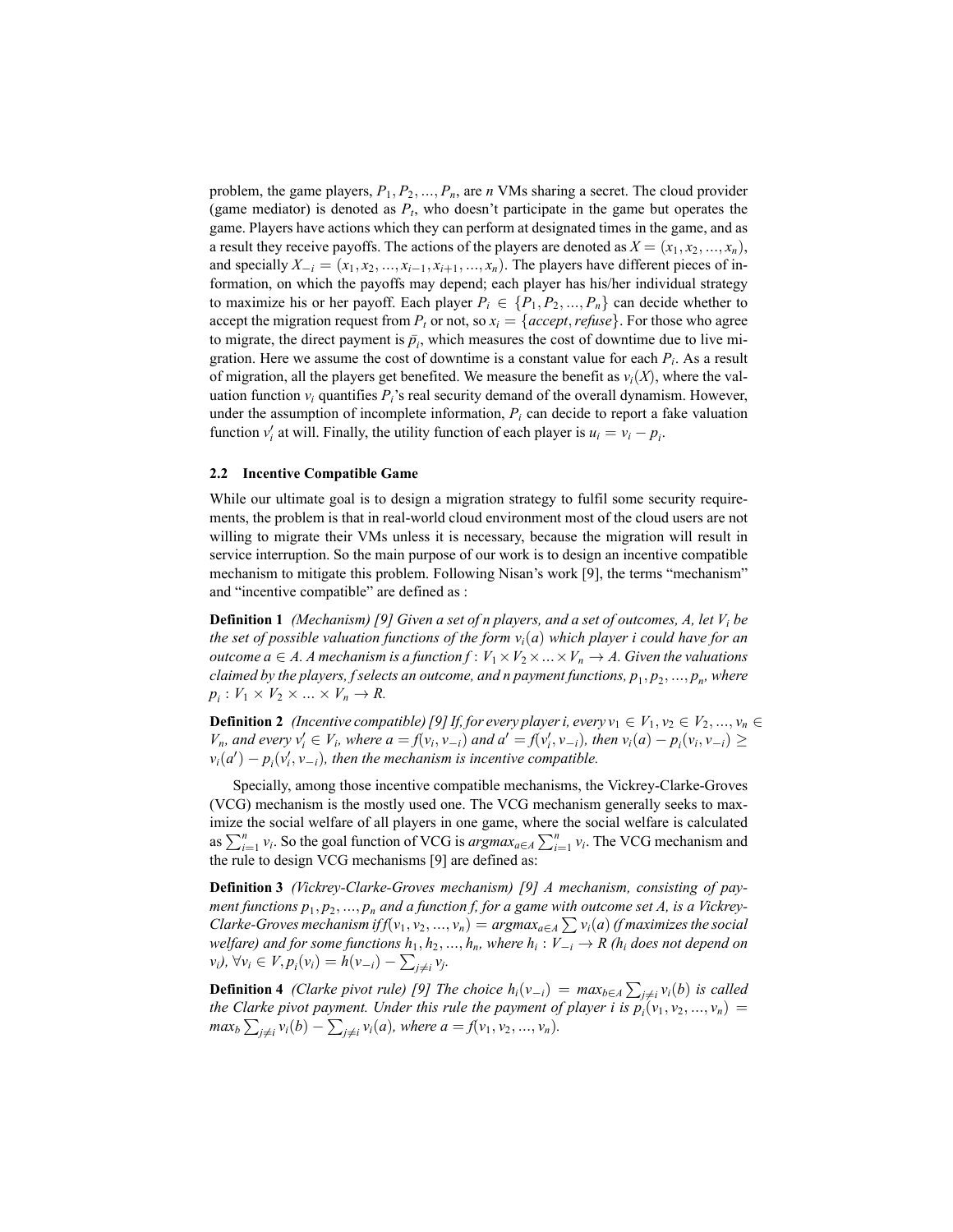problem, the game players, *P*1*, P*2*, ..., Pn*, are *n* VMs sharing a secret. The cloud provider (game mediator) is denoted as  $P_t$ , who doesn't participate in the game but operates the game. Players have actions which they can perform at designated times in the game, and as a result they receive payoffs. The actions of the players are denoted as  $X = (x_1, x_2, ..., x_n)$ , and specially  $X_{-i} = (x_1, x_2, \ldots, x_{i-1}, x_{i+1}, \ldots, x_n)$ . The players have different pieces of information, on which the payoffs may depend; each player has his/her individual strategy to maximize his or her payoff. Each player  $P_i \in \{P_1, P_2, ..., P_n\}$  can decide whether to accept the migration request from  $P_t$  or not, so  $x_i = \{accept, refuse\}$ . For those who agree to migrate, the direct payment is  $\bar{p}_i$ , which measures the cost of downtime due to live migration. Here we assume the cost of downtime is a constant value for each *P<sup>i</sup>* . As a result of migration, all the players get benefited. We measure the benefit as  $v_i(X)$ , where the valuation function  $v_i$  quantifies  $P_i$ 's real security demand of the overall dynamism. However, under the assumption of incomplete information,  $P_i$  can decide to report a fake valuation function  $v'_i$  at will. Finally, the utility function of each player is  $u_i = v_i - p_i$ .

#### **2.2 Incentive Compatible Game**

While our ultimate goal is to design a migration strategy to fulfil some security requirements, the problem is that in real-world cloud environment most of the cloud users are not willing to migrate their VMs unless it is necessary, because the migration will result in service interruption. So the main purpose of our work is to design an incentive compatible mechanism to mitigate this problem. Following Nisan's work [9], the terms "mechanism" and "incentive compatible" are defined as :

**Definition 1** *(Mechanism) [9] Given a set of n players, and a set of outcomes, A, let V<sup>i</sup> be the set of possible valuation functions of the form*  $v_i(a)$  *which player i could have for an outcome*  $a \in A$ *. A mechanism is a function*  $f: V_1 \times V_2 \times \ldots \times V_n \to A$ *. Given the valuations*  $\alpha$  *claimed by the players, f selects an outcome, and n payment functions,*  $p_1, p_2, ..., p_n$ *, where*  $p_i: V_1 \times V_2 \times \ldots \times V_n \to R$ .

**Definition 2** *(Incentive compatible)* [9] If, for every player *i*, every  $v_1 \in V_1, v_2 \in V_2, ..., v_n \in V_1$  $V_n$ , and every  $v'_i \in V_i$ , where  $a = f(v_i, v_{-i})$  and  $a' = f(v'_i, v_{-i})$ , then  $v_i(a) - p_i(v_i, v_{-i}) \ge$  $v_i(a') - p_i(v'_i, v_{-i})$ , then the mechanism is incentive compatible.

Specially, among those incentive compatible mechanisms, the Vickrey-Clarke-Groves (VCG) mechanism is the mostly used one. The VCG mechanism generally seeks to maximize the social welfare of all players in one game, where the social welfare is calculated as  $\sum_{i=1}^{n} v_i$ . So the goal function of VCG is  $argmax_{a \in A} \sum_{i=1}^{n} v_i$ . The VCG mechanism and the rule to design VCG mechanisms [9] are defined as:

**Definition 3** *(Vickrey-Clarke-Groves mechanism) [9] A mechanism, consisting of payment functions*  $p_1, p_2, ..., p_n$  and a function f, for a game with outcome set A, is a Vickrey-*Clarke-Groves mechanism if*  $f(v_1, v_2, ..., v_n) = argmax_{a \in A} \sum_i v_i(a)$  *(f maximizes the social*  $w$ *elfare)* and for some functions  $h_1, h_2, ..., h_n$ , where  $h_i: V_{-i} \to R$  ( $h_i$  does not depend on  $v_i$ ,  $\forall v_i \in V, p_i(v_i) = h(v_{-i}) - \sum_{j \neq i} v_j$ .

**Definition 4** *(Clarke pivot rule)* [9] The choice  $h_i(v_{-i}) = max_{b \in A} \sum_{j \neq i} v_i(b)$  is called *the Clarke pivot payment. Under this rule the payment of player <i>i is*  $p_i(v_1, v_2, ..., v_n)$  =  $max_b \sum_{j \neq i} v_i(b) - \sum_{j \neq i} v_i(a)$ , where  $a = f(v_1, v_2, ..., v_n)$ .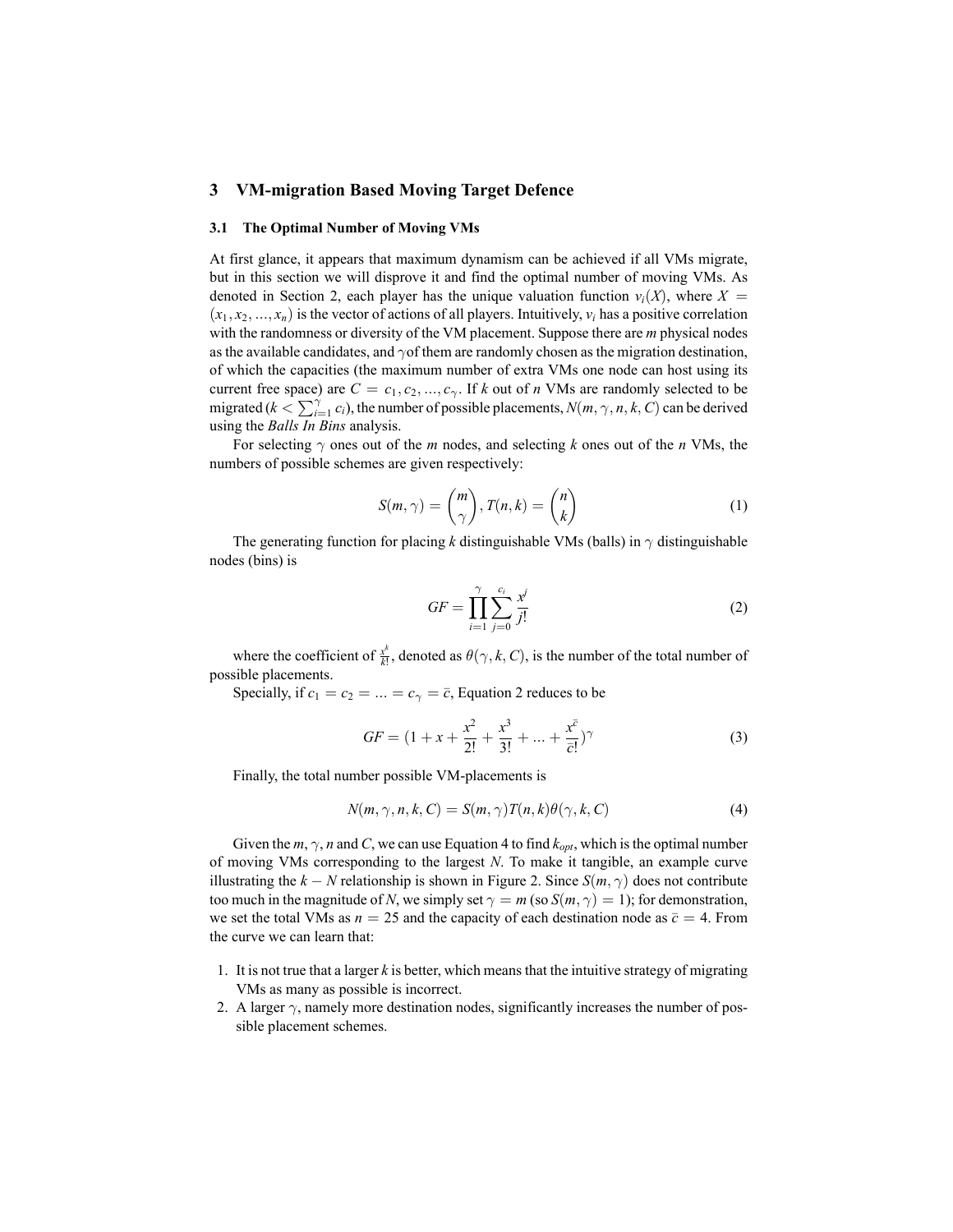# **3 VM-migration Based Moving Target Defence**

#### **3.1 The Optimal Number of Moving VMs**

At first glance, it appears that maximum dynamism can be achieved if all VMs migrate, but in this section we will disprove it and find the optimal number of moving VMs. As denoted in Section 2, each player has the unique valuation function  $v_i(X)$ , where  $X =$  $(x_1, x_2, \ldots, x_n)$  is the vector of actions of all players. Intuitively,  $v_i$  has a positive correlation with the randomness or diversity of the VM placement. Suppose there are *m* physical nodes as the available candidates, and *γ*of them are randomly chosen as the migration destination, of which the capacities (the maximum number of extra VMs one node can host using its current free space) are  $C = c_1, c_2, ..., c_\gamma$ . If *k* out of *n* VMs are randomly selected to be migrated ( $k < \sum_{i=1}^{\gamma} c_i$ ), the number of possible placements,  $N(m, \gamma, n, k, C)$  can be derived using the *Balls In Bins* analysis.

For selecting *γ* ones out of the *m* nodes, and selecting *k* ones out of the *n* VMs, the numbers of possible schemes are given respectively:

$$
S(m,\gamma) = \binom{m}{\gamma}, T(n,k) = \binom{n}{k} \tag{1}
$$

The generating function for placing *k* distinguishable VMs (balls) in *γ* distinguishable nodes (bins) is

$$
GF = \prod_{i=1}^{\gamma} \sum_{j=0}^{c_i} \frac{x^j}{j!}
$$
 (2)

where the coefficient of  $\frac{x^k}{k!}$  $\frac{x^k}{k!}$ , denoted as  $\theta(\gamma, k, C)$ , is the number of the total number of possible placements.

Specially, if  $c_1 = c_2 = ... = c_\gamma = \overline{c}$ , Equation 2 reduces to be

$$
GF = (1 + x + \frac{x^2}{2!} + \frac{x^3}{3!} + \dots + \frac{x^{\bar{c}}}{\bar{c}!})^{\gamma}
$$
 (3)

Finally, the total number possible VM-placements is

$$
N(m, \gamma, n, k, C) = S(m, \gamma)T(n, k)\theta(\gamma, k, C)
$$
\n(4)

Given the *m*,  $\gamma$ , *n* and *C*, we can use Equation 4 to find  $k_{opt}$ , which is the optimal number of moving VMs corresponding to the largest *N*. To make it tangible, an example curve illustrating the  $k - N$  relationship is shown in Figure 2. Since  $S(m, \gamma)$  does not contribute too much in the magnitude of *N*, we simply set  $\gamma = m$  (so  $S(m, \gamma) = 1$ ); for demonstration, we set the total VMs as  $n = 25$  and the capacity of each destination node as  $\bar{c} = 4$ . From the curve we can learn that:

- 1. It is not true that a larger *k* is better, which means that the intuitive strategy of migrating VMs as many as possible is incorrect.
- 2. A larger  $\gamma$ , namely more destination nodes, significantly increases the number of possible placement schemes.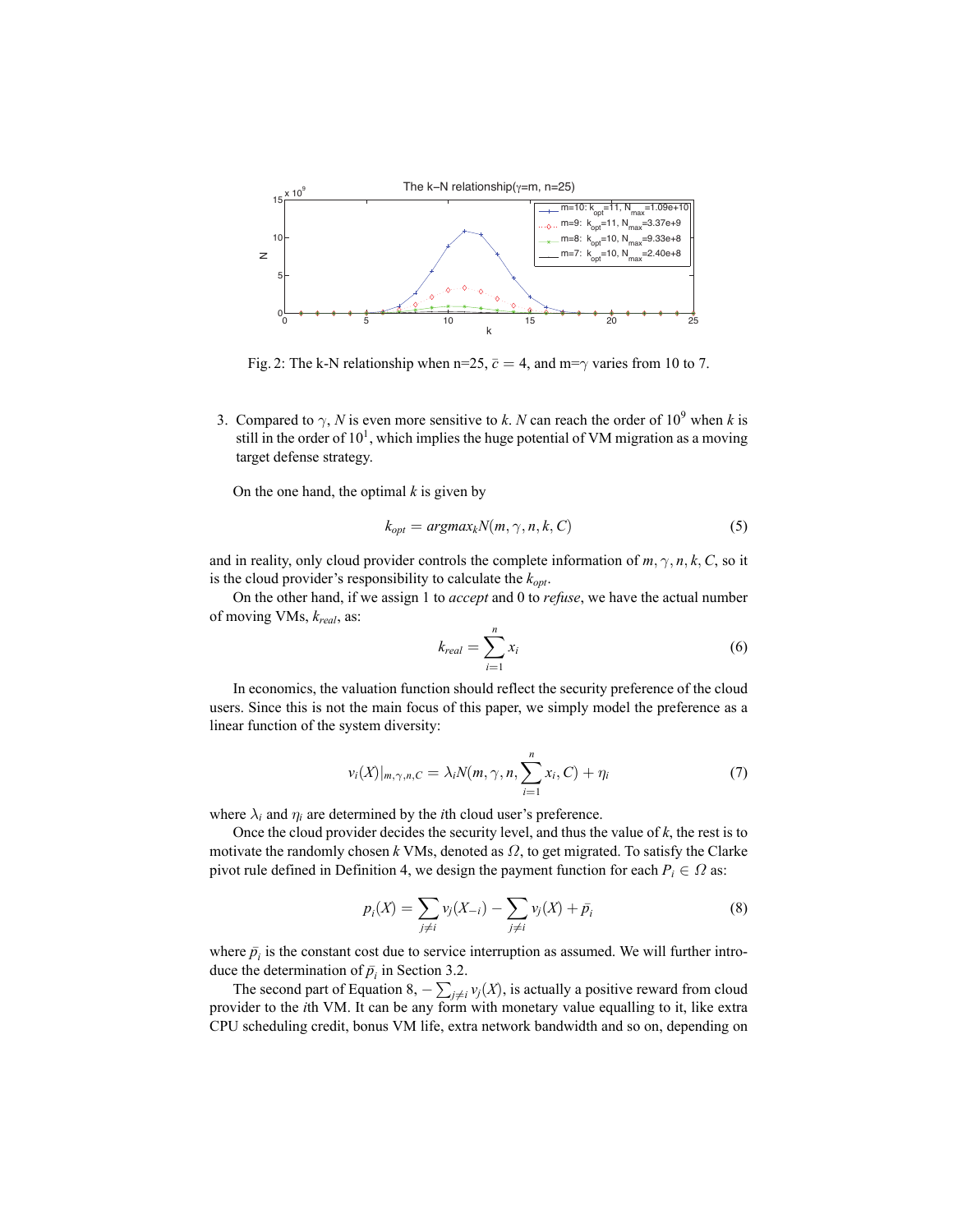

Fig. 2: The k-N relationship when  $n=25$ ,  $\bar{c}=4$ , and  $m=\gamma$  varies from 10 to 7.

3. Compared to  $\gamma$ , *N* is even more sensitive to *k*. *N* can reach the order of 10<sup>9</sup> when *k* is still in the order of  $10<sup>1</sup>$ , which implies the huge potential of VM migration as a moving target defense strategy.

On the one hand, the optimal *k* is given by

$$
k_{opt} = argmax_k N(m, \gamma, n, k, C)
$$
\n(5)

and in reality, only cloud provider controls the complete information of  $m, \gamma, n, k, C$ , so it is the cloud provider's responsibility to calculate the *kopt*.

On the other hand, if we assign 1 to *accept* and 0 to *refuse*, we have the actual number of moving VMs, *kreal*, as:

$$
k_{real} = \sum_{i=1}^{n} x_i
$$
 (6)

In economics, the valuation function should reflect the security preference of the cloud users. Since this is not the main focus of this paper, we simply model the preference as a linear function of the system diversity:

$$
v_i(X)|_{m,\gamma,n,C} = \lambda_i N(m,\gamma,n,\sum_{i=1}^n x_i,C) + \eta_i
$$
\n(7)

where  $\lambda_i$  and  $\eta_i$  are determined by the *i*th cloud user's preference.

Once the cloud provider decides the security level, and thus the value of *k*, the rest is to motivate the randomly chosen *k* VMs, denoted as *Ω*, to get migrated. To satisfy the Clarke pivot rule defined in Definition 4, we design the payment function for each  $P_i \in \Omega$  as:

$$
p_i(X) = \sum_{j \neq i} v_j(X_{-i}) - \sum_{j \neq i} v_j(X) + \bar{p}_i
$$
 (8)

where  $\bar{p}_i$  is the constant cost due to service interruption as assumed. We will further introduce the determination of  $\bar{p}_i$  in Section 3.2.

The second part of Equation 8,  $-\sum_{j\neq i} v_j(X)$ , is actually a positive reward from cloud provider to the *i*th VM. It can be any form with monetary value equalling to it, like extra CPU scheduling credit, bonus VM life, extra network bandwidth and so on, depending on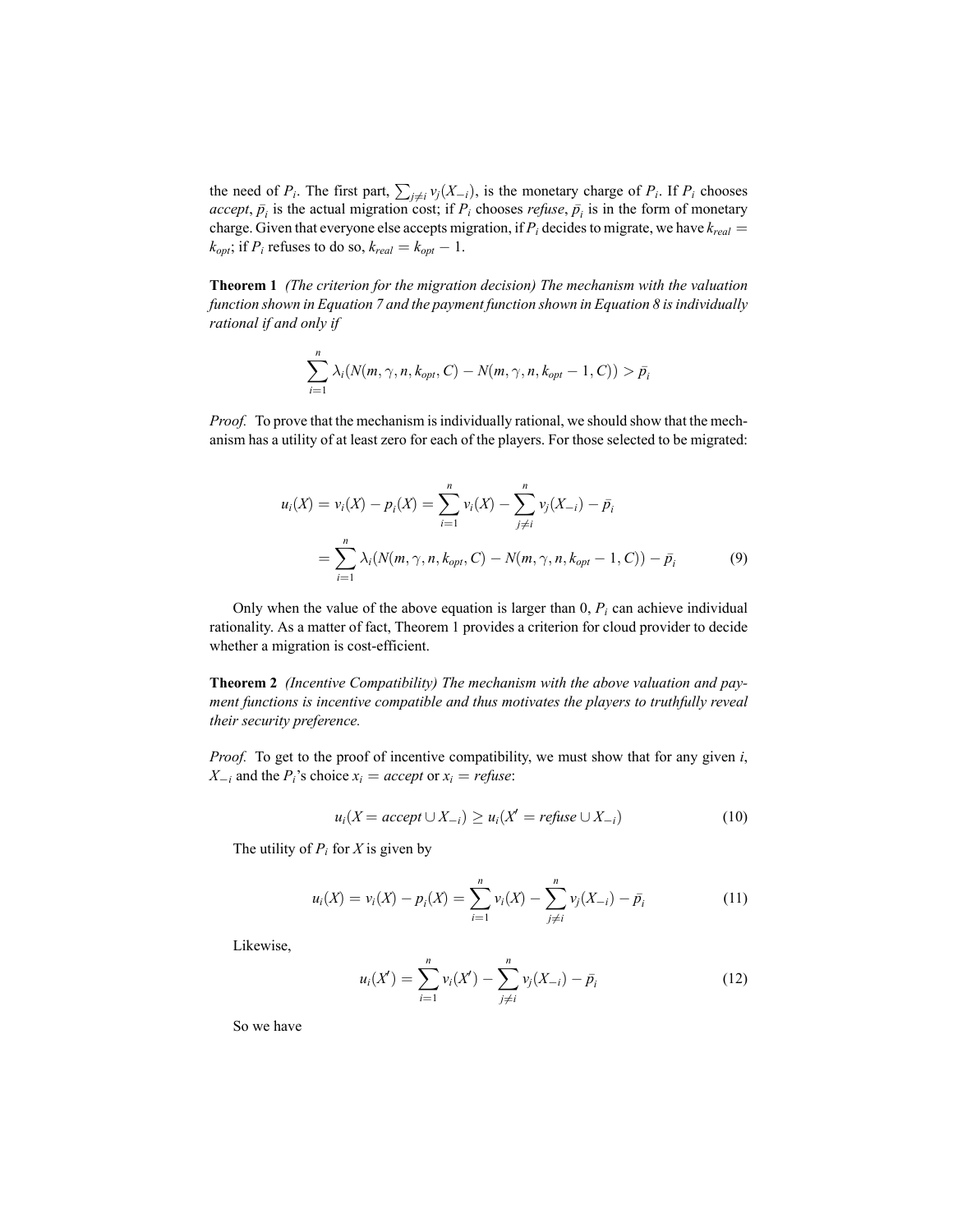the need of  $P_i$ . The first part,  $\sum_{j\neq i} v_j(X_{-i})$ , is the monetary charge of  $P_i$ . If  $P_i$  chooses *accept*,  $\bar{p}_i$  is the actual migration cost; if  $P_i$  chooses *refuse*,  $\bar{p}_i$  is in the form of monetary charge. Given that everyone else accepts migration, if  $P_i$  decides to migrate, we have  $k_{real}$  =  $k_{opt}$ ; if  $P_i$  refuses to do so,  $k_{real} = k_{opt} - 1$ .

**Theorem 1** *(The criterion for the migration decision) The mechanism with the valuation function shown in Equation 7 and the payment function shown in Equation 8 is individually rational if and only if*

$$
\sum_{i=1}^n \lambda_i(N(m,\gamma,n,k_{opt},C)-N(m,\gamma,n,k_{opt}-1,C)) > \bar{p}_i
$$

*Proof.* To prove that the mechanism is individually rational, we should show that the mechanism has a utility of at least zero for each of the players. For those selected to be migrated:

$$
u_i(X) = v_i(X) - p_i(X) = \sum_{i=1}^n v_i(X) - \sum_{j \neq i}^n v_j(X_{-i}) - \bar{p}_i
$$
  
= 
$$
\sum_{i=1}^n \lambda_i (N(m, \gamma, n, k_{opt}, C) - N(m, \gamma, n, k_{opt} - 1, C)) - \bar{p}_i
$$
 (9)

Only when the value of the above equation is larger than  $0$ ,  $P_i$  can achieve individual rationality. As a matter of fact, Theorem 1 provides a criterion for cloud provider to decide whether a migration is cost-efficient.

**Theorem 2** *(Incentive Compatibility) The mechanism with the above valuation and payment functions is incentive compatible and thus motivates the players to truthfully reveal their security preference.*

*Proof.* To get to the proof of incentive compatibility, we must show that for any given *i*,  $X_{-i}$  and the  $P_i$ 's choice  $x_i = accept$  or  $x_i = reflex$ .

$$
u_i(X = accept \cup X_{-i}) \ge u_i(X' = refuse \cup X_{-i})
$$
\n(10)

The utility of  $P_i$  for *X* is given by

$$
u_i(X) = v_i(X) - p_i(X) = \sum_{i=1}^n v_i(X) - \sum_{j \neq i}^n v_j(X_{-i}) - \bar{p}_i
$$
\n(11)

Likewise,

$$
u_i(X') = \sum_{i=1}^n v_i(X') - \sum_{j \neq i}^n v_j(X_{-i}) - \bar{p}_i
$$
\n(12)

So we have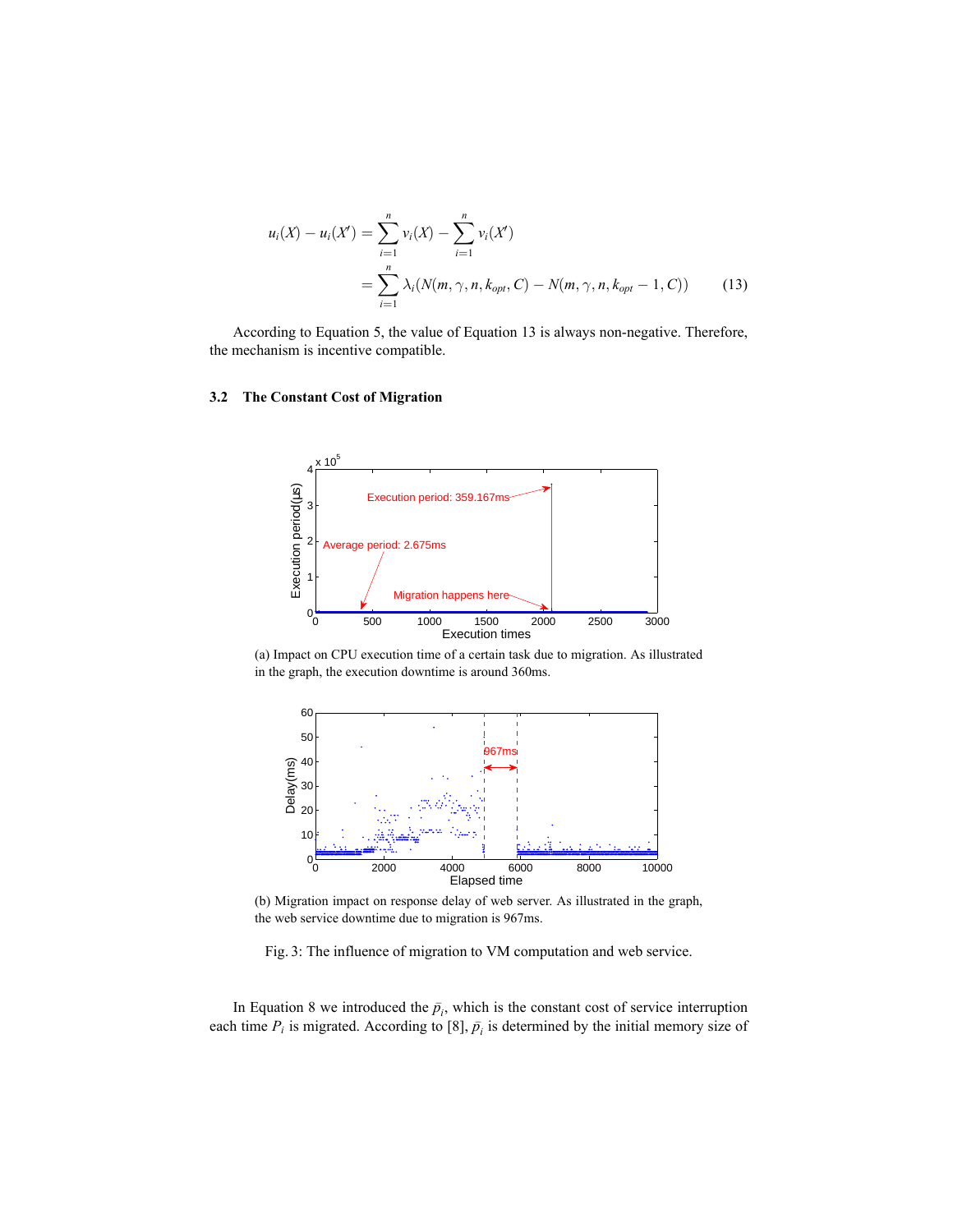$$
u_i(X) - u_i(X') = \sum_{i=1}^n v_i(X) - \sum_{i=1}^n v_i(X')
$$
  
= 
$$
\sum_{i=1}^n \lambda_i (N(m, \gamma, n, k_{opt}, C) - N(m, \gamma, n, k_{opt} - 1, C))
$$
 (13)

According to Equation 5, the value of Equation 13 is always non-negative. Therefore, the mechanism is incentive compatible.

## **3.2 The Constant Cost of Migration**



(a) Impact on CPU execution time of a certain task due to migration. As illustrated in the graph, the execution downtime is around 360ms.



(b) Migration impact on response delay of web server. As illustrated in the graph, the web service downtime due to migration is 967ms.

Fig. 3: The influence of migration to VM computation and web service.

In Equation 8 we introduced the  $\bar{p}_i$ , which is the constant cost of service interruption each time  $P_i$  is migrated. According to [8],  $\bar{p}_i$  is determined by the initial memory size of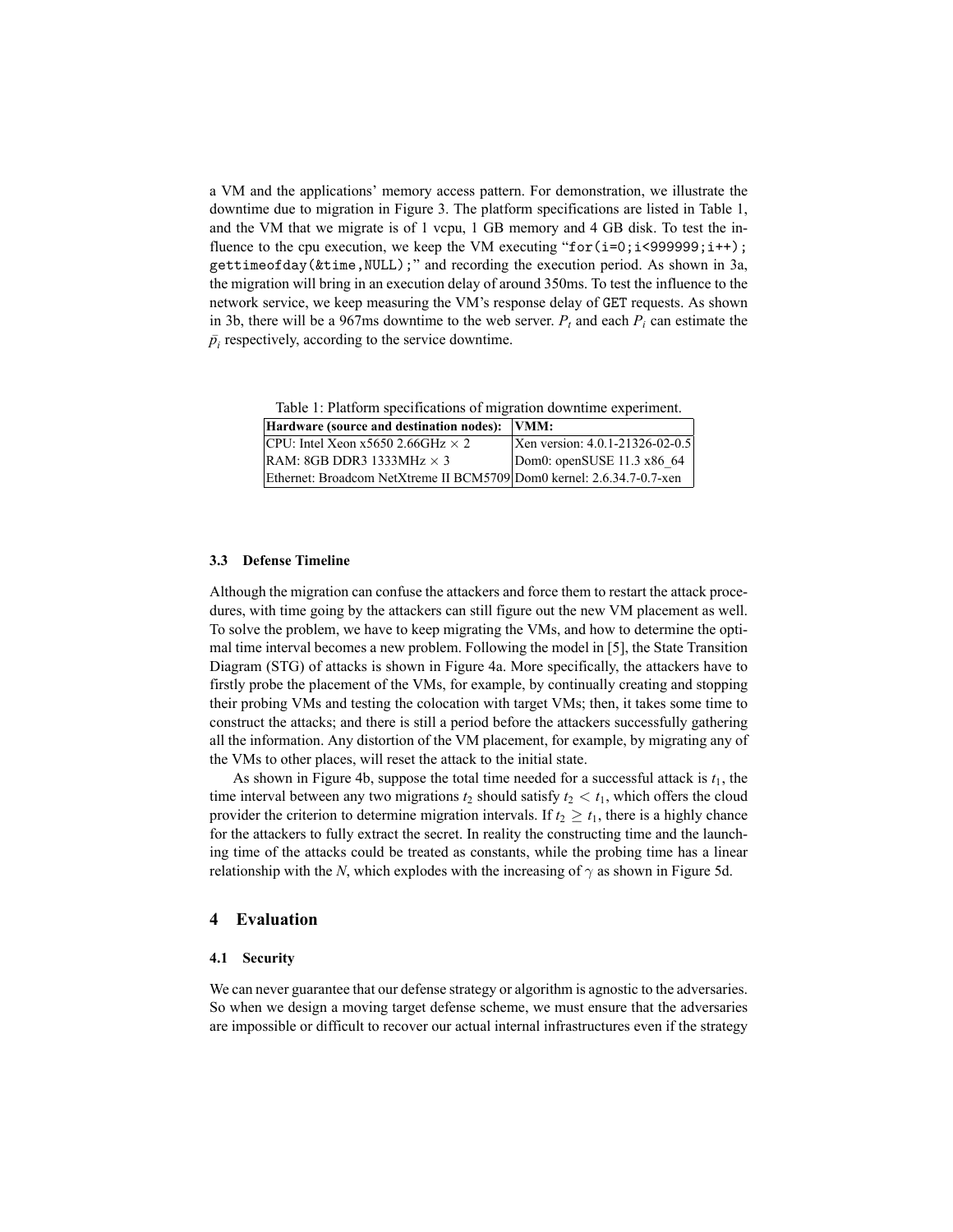a VM and the applications' memory access pattern. For demonstration, we illustrate the downtime due to migration in Figure 3. The platform specifications are listed in Table 1, and the VM that we migrate is of 1 vcpu, 1 GB memory and 4 GB disk. To test the influence to the cpu execution, we keep the VM executing " $for(i=0; i<999999; i++)$ ; gettimeofday(&time,NULL);" and recording the execution period. As shown in 3a, the migration will bring in an execution delay of around 350ms. To test the influence to the network service, we keep measuring the VM's response delay of GET requests. As shown in 3b, there will be a 967ms downtime to the web server.  $P_t$  and each  $P_i$  can estimate the  $\bar{p}_i$  respectively, according to the service downtime.

Table 1: Platform specifications of migration downtime experiment.

| Hardware (source and destination nodes): VMM:                         |                                    |
|-----------------------------------------------------------------------|------------------------------------|
| CPU: Intel Xeon x5650 2.66GHz $\times$ 2                              | Xen version: 4.0.1-21326-02-0.5    |
| $\overline{RAM}$ : 8GB DDR3 1333MHz $\times$ 3                        | Dom0: openSUSE $11.3 \times 86$ 64 |
| Ethernet: Broadcom NetXtreme II BCM5709 Dom0 kernel: 2.6.34.7-0.7-xen |                                    |

#### **3.3 Defense Timeline**

Although the migration can confuse the attackers and force them to restart the attack procedures, with time going by the attackers can still figure out the new VM placement as well. To solve the problem, we have to keep migrating the VMs, and how to determine the optimal time interval becomes a new problem. Following the model in [5], the State Transition Diagram (STG) of attacks is shown in Figure 4a. More specifically, the attackers have to firstly probe the placement of the VMs, for example, by continually creating and stopping their probing VMs and testing the colocation with target VMs; then, it takes some time to construct the attacks; and there is still a period before the attackers successfully gathering all the information. Any distortion of the VM placement, for example, by migrating any of the VMs to other places, will reset the attack to the initial state.

As shown in Figure 4b, suppose the total time needed for a successful attack is  $t_1$ , the time interval between any two migrations  $t_2$  should satisfy  $t_2 < t_1$ , which offers the cloud provider the criterion to determine migration intervals. If  $t_2 \geq t_1$ , there is a highly chance for the attackers to fully extract the secret. In reality the constructing time and the launching time of the attacks could be treated as constants, while the probing time has a linear relationship with the *N*, which explodes with the increasing of  $\gamma$  as shown in Figure 5d.

#### **4 Evaluation**

#### **4.1 Security**

We can never guarantee that our defense strategy or algorithm is agnostic to the adversaries. So when we design a moving target defense scheme, we must ensure that the adversaries are impossible or difficult to recover our actual internal infrastructures even if the strategy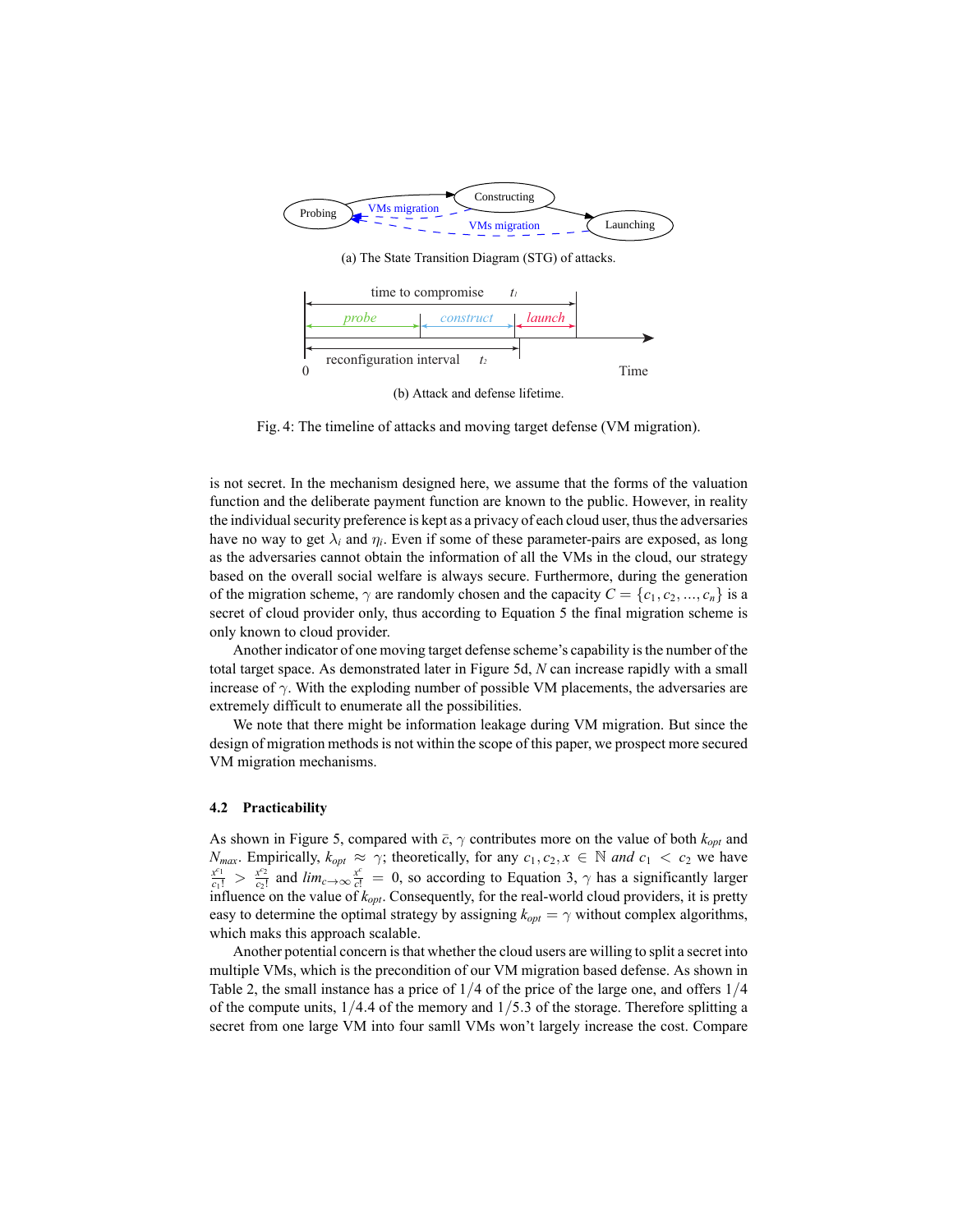

(a) The State Transition Diagram (STG) of attacks.



(b) Attack and defense lifetime.

Fig. 4: The timeline of attacks and moving target defense (VM migration).

is not secret. In the mechanism designed here, we assume that the forms of the valuation function and the deliberate payment function are known to the public. However, in reality the individual security preference is kept as a privacy of each cloud user, thus the adversaries have no way to get  $\lambda_i$  and  $\eta_i$ . Even if some of these parameter-pairs are exposed, as long as the adversaries cannot obtain the information of all the VMs in the cloud, our strategy based on the overall social welfare is always secure. Furthermore, during the generation of the migration scheme,  $\gamma$  are randomly chosen and the capacity  $C = \{c_1, c_2, ..., c_n\}$  is a secret of cloud provider only, thus according to Equation 5 the final migration scheme is only known to cloud provider.

Another indicator of one moving target defense scheme's capability is the number of the total target space. As demonstrated later in Figure 5d, *N* can increase rapidly with a small increase of  $\gamma$ . With the exploding number of possible VM placements, the adversaries are extremely difficult to enumerate all the possibilities.

We note that there might be information leakage during VM migration. But since the design of migration methods is not within the scope of this paper, we prospect more secured VM migration mechanisms.

#### **4.2 Practicability**

As shown in Figure 5, compared with  $\bar{c}$ ,  $\gamma$  contributes more on the value of both  $k_{opt}$  and *N*<sub>max</sub>. Empirically,  $k_{opt} \approx \gamma$ ; theoretically, for any  $c_1, c_2, x \in \mathbb{N}$  and  $c_1 < c_2$  we have  $\frac{x^{c_1}}{c_1!}$  >  $\frac{x^{c_2}}{c_2!}$  $\frac{x^{c_2}}{c_2!}$  and  $\lim_{c \to \infty} \frac{x^c}{c!} = 0$ , so according to Equation 3,  $\gamma$  has a significantly larger influence on the value of *kopt*. Consequently, for the real-world cloud providers, it is pretty easy to determine the optimal strategy by assigning  $k_{opt} = \gamma$  without complex algorithms, which maks this approach scalable.

Another potential concern is that whether the cloud users are willing to split a secret into multiple VMs, which is the precondition of our VM migration based defense. As shown in Table 2, the small instance has a price of 1*/*4 of the price of the large one, and offers 1*/*4 of the compute units, 1*/*4*.*4 of the memory and 1*/*5*.*3 of the storage. Therefore splitting a secret from one large VM into four samll VMs won't largely increase the cost. Compare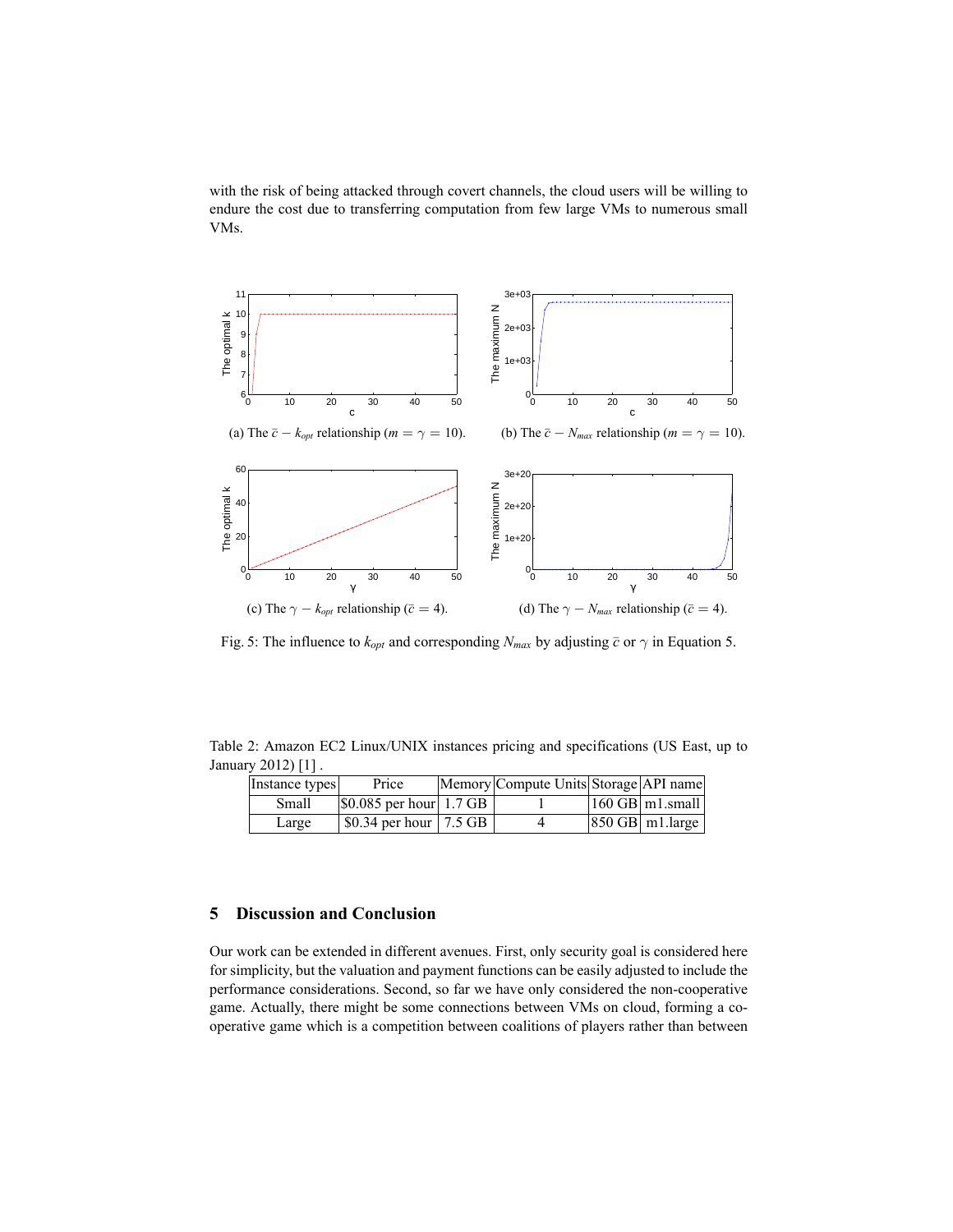with the risk of being attacked through covert channels, the cloud users will be willing to endure the cost due to transferring computation from few large VMs to numerous small VMs.



Fig. 5: The influence to  $k_{opt}$  and corresponding  $N_{max}$  by adjusting  $\bar{c}$  or  $\gamma$  in Equation 5.

Table 2: Amazon EC2 Linux/UNIX instances pricing and specifications (US East, up to January 2012) [1] .

| Instance types | Price                                              | Memory Compute Units Storage API name |                             |
|----------------|----------------------------------------------------|---------------------------------------|-----------------------------|
| Small          | $ $0.085$ per hour 1.7 GB                          |                                       | $ 160 \text{ GB} $ m1.small |
| Large          | $\frac{1}{2}$ \$0.34 per hour $\frac{1}{2}$ 7.5 GB |                                       | $ 850 \text{ GB} $ m1.large |

## **5 Discussion and Conclusion**

Our work can be extended in different avenues. First, only security goal is considered here for simplicity, but the valuation and payment functions can be easily adjusted to include the performance considerations. Second, so far we have only considered the non-cooperative game. Actually, there might be some connections between VMs on cloud, forming a cooperative game which is a competition between coalitions of players rather than between